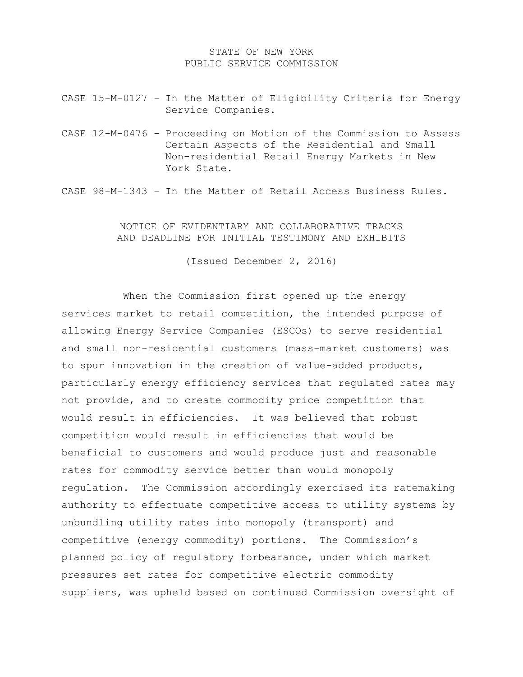## STATE OF NEW YORK PUBLIC SERVICE COMMISSION

- CASE 15-M-0127 In the Matter of Eligibility Criteria for Energy Service Companies.
- CASE 12-M-0476 Proceeding on Motion of the Commission to Assess Certain Aspects of the Residential and Small Non-residential Retail Energy Markets in New York State.

CASE 98-M-1343 - In the Matter of Retail Access Business Rules.

## NOTICE OF EVIDENTIARY AND COLLABORATIVE TRACKS AND DEADLINE FOR INITIAL TESTIMONY AND EXHIBITS

(Issued December 2, 2016)

When the Commission first opened up the energy services market to retail competition, the intended purpose of allowing Energy Service Companies (ESCOs) to serve residential and small non-residential customers (mass-market customers) was to spur innovation in the creation of value-added products, particularly energy efficiency services that regulated rates may not provide, and to create commodity price competition that would result in efficiencies. It was believed that robust competition would result in efficiencies that would be beneficial to customers and would produce just and reasonable rates for commodity service better than would monopoly regulation. The Commission accordingly exercised its ratemaking authority to effectuate competitive access to utility systems by unbundling utility rates into monopoly (transport) and competitive (energy commodity) portions. The Commission's planned policy of regulatory forbearance, under which market pressures set rates for competitive electric commodity suppliers, was upheld based on continued Commission oversight of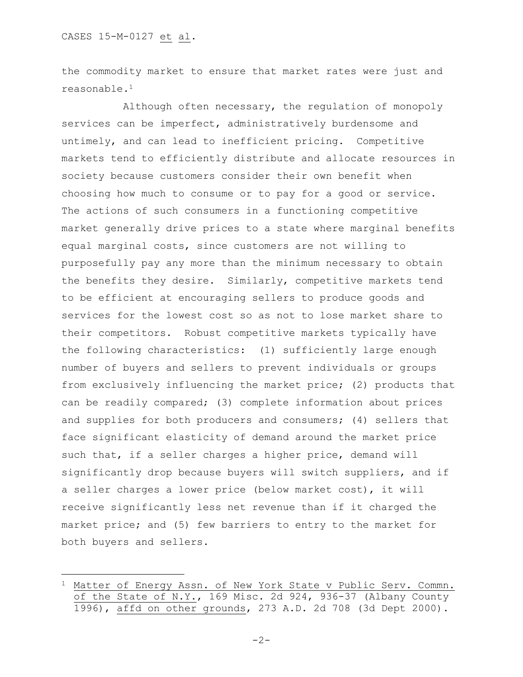a<br>B

the commodity market to ensure that market rates were just and reasonable.<sup>1</sup>

Although often necessary, the regulation of monopoly services can be imperfect, administratively burdensome and untimely, and can lead to inefficient pricing. Competitive markets tend to efficiently distribute and allocate resources in society because customers consider their own benefit when choosing how much to consume or to pay for a good or service. The actions of such consumers in a functioning competitive market generally drive prices to a state where marginal benefits equal marginal costs, since customers are not willing to purposefully pay any more than the minimum necessary to obtain the benefits they desire. Similarly, competitive markets tend to be efficient at encouraging sellers to produce goods and services for the lowest cost so as not to lose market share to their competitors. Robust competitive markets typically have the following characteristics: (1) sufficiently large enough number of buyers and sellers to prevent individuals or groups from exclusively influencing the market price; (2) products that can be readily compared; (3) complete information about prices and supplies for both producers and consumers; (4) sellers that face significant elasticity of demand around the market price such that, if a seller charges a higher price, demand will significantly drop because buyers will switch suppliers, and if a seller charges a lower price (below market cost), it will receive significantly less net revenue than if it charged the market price; and (5) few barriers to entry to the market for both buyers and sellers.

<sup>&</sup>lt;sup>1</sup> Matter of Energy Assn. of New York State v Public Serv. Commn. of the State of N.Y., 169 Misc. 2d 924, 936-37 (Albany County 1996), affd on other grounds, 273 A.D. 2d 708 (3d Dept 2000).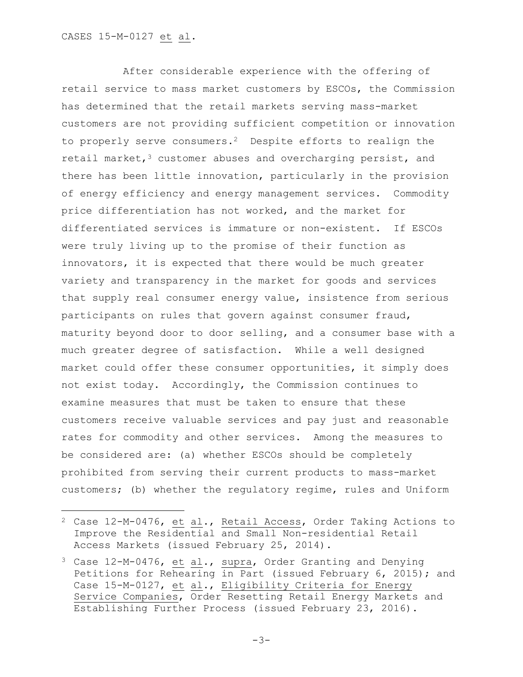## CASES 15-M-0127 et al.

a<br>B

After considerable experience with the offering of retail service to mass market customers by ESCOs, the Commission has determined that the retail markets serving mass-market customers are not providing sufficient competition or innovation to properly serve consumers.<sup>2</sup> Despite efforts to realign the retail market,  $3$  customer abuses and overcharging persist, and there has been little innovation, particularly in the provision of energy efficiency and energy management services. Commodity price differentiation has not worked, and the market for differentiated services is immature or non-existent. If ESCOs were truly living up to the promise of their function as innovators, it is expected that there would be much greater variety and transparency in the market for goods and services that supply real consumer energy value, insistence from serious participants on rules that govern against consumer fraud, maturity beyond door to door selling, and a consumer base with a much greater degree of satisfaction. While a well designed market could offer these consumer opportunities, it simply does not exist today. Accordingly, the Commission continues to examine measures that must be taken to ensure that these customers receive valuable services and pay just and reasonable rates for commodity and other services. Among the measures to be considered are: (a) whether ESCOs should be completely prohibited from serving their current products to mass-market customers; (b) whether the regulatory regime, rules and Uniform

<sup>2</sup> Case 12-M-0476, et al., Retail Access, Order Taking Actions to Improve the Residential and Small Non-residential Retail Access Markets (issued February 25, 2014).

<sup>3</sup> Case 12-M-0476, et al., supra, Order Granting and Denying Petitions for Rehearing in Part (issued February 6, 2015); and Case 15-M-0127, et al., Eligibility Criteria for Energy Service Companies, Order Resetting Retail Energy Markets and Establishing Further Process (issued February 23, 2016).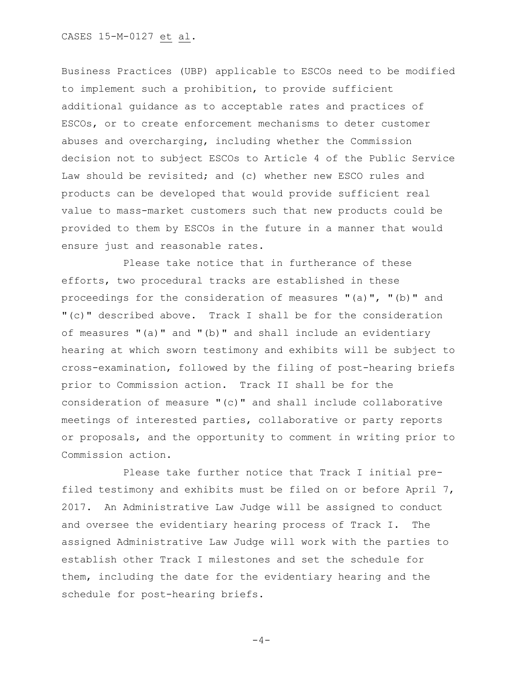Business Practices (UBP) applicable to ESCOs need to be modified to implement such a prohibition, to provide sufficient additional guidance as to acceptable rates and practices of ESCOs, or to create enforcement mechanisms to deter customer abuses and overcharging, including whether the Commission decision not to subject ESCOs to Article 4 of the Public Service Law should be revisited; and (c) whether new ESCO rules and products can be developed that would provide sufficient real value to mass-market customers such that new products could be provided to them by ESCOs in the future in a manner that would ensure just and reasonable rates.

Please take notice that in furtherance of these efforts, two procedural tracks are established in these proceedings for the consideration of measures "(a)", "(b)" and "(c)" described above. Track I shall be for the consideration of measures "(a)" and "(b)" and shall include an evidentiary hearing at which sworn testimony and exhibits will be subject to cross-examination, followed by the filing of post-hearing briefs prior to Commission action. Track II shall be for the consideration of measure "(c)" and shall include collaborative meetings of interested parties, collaborative or party reports or proposals, and the opportunity to comment in writing prior to Commission action.

Please take further notice that Track I initial prefiled testimony and exhibits must be filed on or before April 7, 2017. An Administrative Law Judge will be assigned to conduct and oversee the evidentiary hearing process of Track I. The assigned Administrative Law Judge will work with the parties to establish other Track I milestones and set the schedule for them, including the date for the evidentiary hearing and the schedule for post-hearing briefs.

```
-4-
```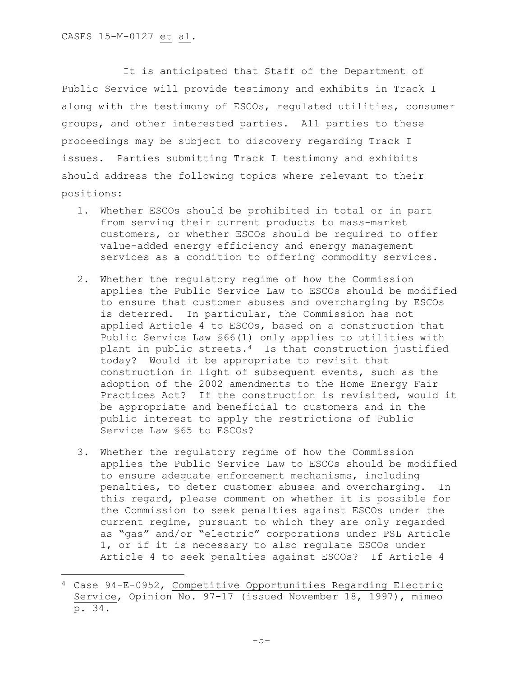a<br>B

It is anticipated that Staff of the Department of Public Service will provide testimony and exhibits in Track I along with the testimony of ESCOs, regulated utilities, consumer groups, and other interested parties. All parties to these proceedings may be subject to discovery regarding Track I issues. Parties submitting Track I testimony and exhibits should address the following topics where relevant to their positions:

- 1. Whether ESCOs should be prohibited in total or in part from serving their current products to mass-market customers, or whether ESCOs should be required to offer value-added energy efficiency and energy management services as a condition to offering commodity services.
- 2. Whether the regulatory regime of how the Commission applies the Public Service Law to ESCOs should be modified to ensure that customer abuses and overcharging by ESCOs is deterred. In particular, the Commission has not applied Article 4 to ESCOs, based on a construction that Public Service Law §66(1) only applies to utilities with plant in public streets.4 Is that construction justified today? Would it be appropriate to revisit that construction in light of subsequent events, such as the adoption of the 2002 amendments to the Home Energy Fair Practices Act? If the construction is revisited, would it be appropriate and beneficial to customers and in the public interest to apply the restrictions of Public Service Law §65 to ESCOs?
- 3. Whether the regulatory regime of how the Commission applies the Public Service Law to ESCOs should be modified to ensure adequate enforcement mechanisms, including penalties, to deter customer abuses and overcharging. In this regard, please comment on whether it is possible for the Commission to seek penalties against ESCOs under the current regime, pursuant to which they are only regarded as "gas" and/or "electric" corporations under PSL Article 1, or if it is necessary to also regulate ESCOs under Article 4 to seek penalties against ESCOs? If Article 4

<sup>4</sup> Case 94-E-0952, Competitive Opportunities Regarding Electric Service, Opinion No. 97-17 (issued November 18, 1997), mimeo p. 34.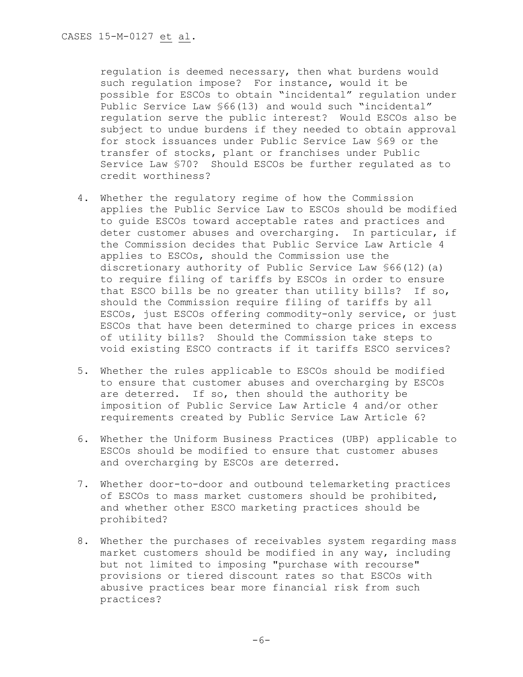regulation is deemed necessary, then what burdens would such regulation impose? For instance, would it be possible for ESCOs to obtain "incidental" regulation under Public Service Law §66(13) and would such "incidental" regulation serve the public interest? Would ESCOs also be subject to undue burdens if they needed to obtain approval for stock issuances under Public Service Law §69 or the transfer of stocks, plant or franchises under Public Service Law §70? Should ESCOs be further regulated as to credit worthiness?

- 4. Whether the regulatory regime of how the Commission applies the Public Service Law to ESCOs should be modified to guide ESCOs toward acceptable rates and practices and deter customer abuses and overcharging. In particular, if the Commission decides that Public Service Law Article 4 applies to ESCOs, should the Commission use the discretionary authority of Public Service Law §66(12)(a) to require filing of tariffs by ESCOs in order to ensure that ESCO bills be no greater than utility bills? If so, should the Commission require filing of tariffs by all ESCOs, just ESCOs offering commodity-only service, or just ESCOs that have been determined to charge prices in excess of utility bills? Should the Commission take steps to void existing ESCO contracts if it tariffs ESCO services?
- 5. Whether the rules applicable to ESCOs should be modified to ensure that customer abuses and overcharging by ESCOs are deterred. If so, then should the authority be imposition of Public Service Law Article 4 and/or other requirements created by Public Service Law Article 6?
- 6. Whether the Uniform Business Practices (UBP) applicable to ESCOs should be modified to ensure that customer abuses and overcharging by ESCOs are deterred.
- 7. Whether door-to-door and outbound telemarketing practices of ESCOs to mass market customers should be prohibited, and whether other ESCO marketing practices should be prohibited?
- 8. Whether the purchases of receivables system regarding mass market customers should be modified in any way, including but not limited to imposing "purchase with recourse" provisions or tiered discount rates so that ESCOs with abusive practices bear more financial risk from such practices?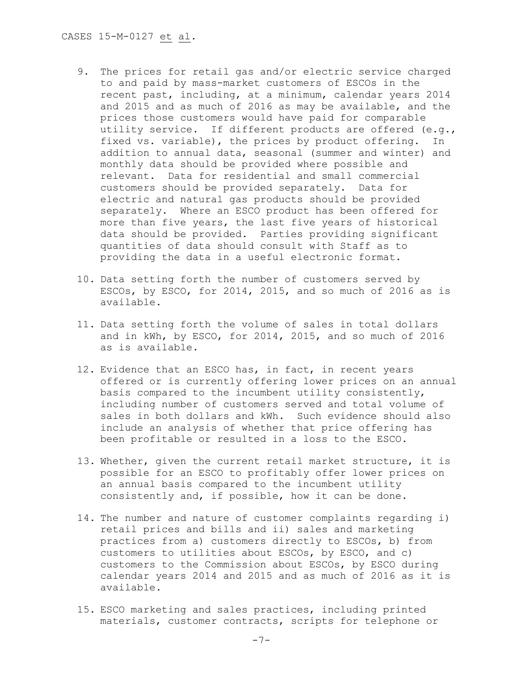- 9. The prices for retail gas and/or electric service charged to and paid by mass-market customers of ESCOs in the recent past, including, at a minimum, calendar years 2014 and 2015 and as much of 2016 as may be available, and the prices those customers would have paid for comparable utility service. If different products are offered (e.g., fixed vs. variable), the prices by product offering. In addition to annual data, seasonal (summer and winter) and monthly data should be provided where possible and relevant. Data for residential and small commercial customers should be provided separately. Data for electric and natural gas products should be provided separately. Where an ESCO product has been offered for more than five years, the last five years of historical data should be provided. Parties providing significant quantities of data should consult with Staff as to providing the data in a useful electronic format.
- 10. Data setting forth the number of customers served by ESCOs, by ESCO, for 2014, 2015, and so much of 2016 as is available.
- 11. Data setting forth the volume of sales in total dollars and in kWh, by ESCO, for 2014, 2015, and so much of 2016 as is available.
- 12. Evidence that an ESCO has, in fact, in recent years offered or is currently offering lower prices on an annual basis compared to the incumbent utility consistently, including number of customers served and total volume of sales in both dollars and kWh. Such evidence should also include an analysis of whether that price offering has been profitable or resulted in a loss to the ESCO.
- 13. Whether, given the current retail market structure, it is possible for an ESCO to profitably offer lower prices on an annual basis compared to the incumbent utility consistently and, if possible, how it can be done.
- 14. The number and nature of customer complaints regarding i) retail prices and bills and ii) sales and marketing practices from a) customers directly to ESCOs, b) from customers to utilities about ESCOs, by ESCO, and c) customers to the Commission about ESCOs, by ESCO during calendar years 2014 and 2015 and as much of 2016 as it is available.
- 15. ESCO marketing and sales practices, including printed materials, customer contracts, scripts for telephone or